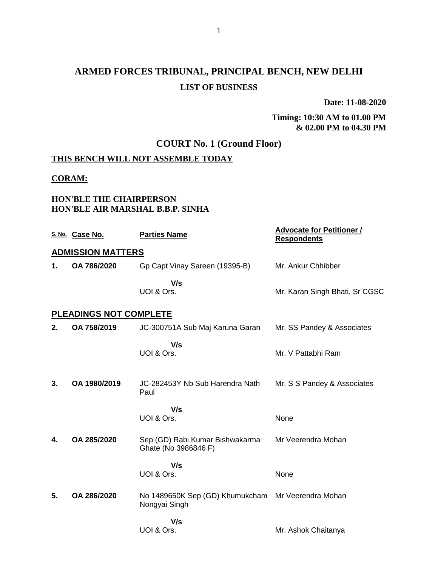# **ARMED FORCES TRIBUNAL, PRINCIPAL BENCH, NEW DELHI LIST OF BUSINESS**

**Date: 11-08-2020**

#### **Timing: 10:30 AM to 01.00 PM & 02.00 PM to 04.30 PM**

## **COURT No. 1 (Ground Floor)**

### **THIS BENCH WILL NOT ASSEMBLE TODAY**

#### **CORAM:**

#### **HON'BLE THE CHAIRPERSON HON'BLE AIR MARSHAL B.B.P. SINHA**

|    | S. No. Case No.               | <b>Parties Name</b>                                     | <b>Advocate for Petitioner /</b><br><b>Respondents</b> |
|----|-------------------------------|---------------------------------------------------------|--------------------------------------------------------|
|    | <b>ADMISSION MATTERS</b>      |                                                         |                                                        |
| 1. | OA 786/2020                   | Gp Capt Vinay Sareen (19395-B)                          | Mr. Ankur Chhibber                                     |
|    |                               | V/s                                                     |                                                        |
|    |                               | UOI & Ors.                                              | Mr. Karan Singh Bhati, Sr CGSC                         |
|    | <b>PLEADINGS NOT COMPLETE</b> |                                                         |                                                        |
| 2. | OA 758/2019                   | JC-300751A Sub Maj Karuna Garan                         | Mr. SS Pandey & Associates                             |
|    |                               | V/s                                                     |                                                        |
|    |                               | UOI & Ors.                                              | Mr. V Pattabhi Ram                                     |
|    |                               |                                                         |                                                        |
| 3. | OA 1980/2019                  | JC-282453Y Nb Sub Harendra Nath<br>Paul                 | Mr. S S Pandey & Associates                            |
|    |                               |                                                         |                                                        |
|    |                               | V/s<br>UOI & Ors.                                       | None                                                   |
|    |                               |                                                         |                                                        |
| 4. | OA 285/2020                   | Sep (GD) Rabi Kumar Bishwakarma<br>Ghate (No 3986846 F) | Mr Veerendra Mohan                                     |
|    |                               | V/s                                                     |                                                        |
|    |                               | UOI & Ors.                                              | None                                                   |
| 5. | OA 286/2020                   | No 1489650K Sep (GD) Khumukcham Mr Veerendra Mohan      |                                                        |
|    |                               | Nongyai Singh                                           |                                                        |
|    |                               | V/s                                                     |                                                        |
|    |                               | UOI & Ors.                                              | Mr. Ashok Chaitanya                                    |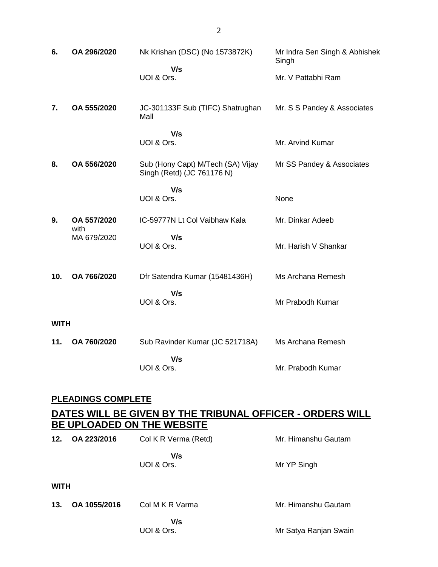| 6.          | OA 296/2020               | Nk Krishan (DSC) (No 1573872K)<br>V/s                           | Mr Indra Sen Singh & Abhishek<br>Singh |  |
|-------------|---------------------------|-----------------------------------------------------------------|----------------------------------------|--|
|             |                           | UOI & Ors.                                                      | Mr. V Pattabhi Ram                     |  |
| 7.          | OA 555/2020               | JC-301133F Sub (TIFC) Shatrughan<br>Mall                        | Mr. S S Pandey & Associates            |  |
|             |                           | V/s<br>UOI & Ors.                                               | Mr. Arvind Kumar                       |  |
| 8.          | OA 556/2020               | Sub (Hony Capt) M/Tech (SA) Vijay<br>Singh (Retd) (JC 761176 N) | Mr SS Pandey & Associates              |  |
|             |                           | V/s<br>UOI & Ors.                                               | None                                   |  |
| 9.          | OA 557/2020<br>with       | IC-59777N Lt Col Vaibhaw Kala                                   | Mr. Dinkar Adeeb                       |  |
|             | MA 679/2020               | V/s<br>UOI & Ors.                                               | Mr. Harish V Shankar                   |  |
| 10.         | OA 766/2020               | Dfr Satendra Kumar (15481436H)                                  | Ms Archana Remesh                      |  |
|             |                           | V/s<br>UOI & Ors.                                               | Mr Prabodh Kumar                       |  |
| <b>WITH</b> |                           |                                                                 |                                        |  |
| 11.         | OA 760/2020               | Sub Ravinder Kumar (JC 521718A)                                 | Ms Archana Remesh                      |  |
|             |                           | V/s<br>UOI & Ors.                                               | Mr. Prabodh Kumar                      |  |
|             | <b>PLEADINGS COMPLETE</b> |                                                                 |                                        |  |

# **DATES WILL BE GIVEN BY THE TRIBUNAL OFFICER - ORDERS WILL BE UPLOADED ON THE WEBSITE**

| 12.         | OA 223/2016  | Col K R Verma (Retd) | Mr. Himanshu Gautam   |
|-------------|--------------|----------------------|-----------------------|
|             |              | V/s<br>UOI & Ors.    | Mr YP Singh           |
| <b>WITH</b> |              |                      |                       |
| 13.         | OA 1055/2016 | Col M K R Varma      | Mr. Himanshu Gautam   |
|             |              | V/s<br>UOI & Ors.    | Mr Satya Ranjan Swain |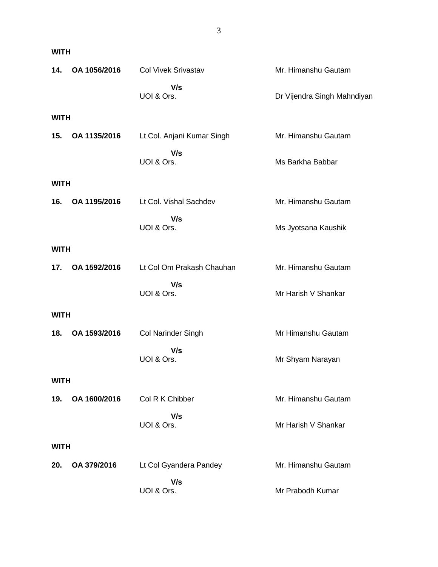| 14.         | OA 1056/2016 | <b>Col Vivek Srivastav</b> | Mr. Himanshu Gautam         |
|-------------|--------------|----------------------------|-----------------------------|
|             |              | V/s<br>UOI & Ors.          | Dr Vijendra Singh Mahndiyan |
| <b>WITH</b> |              |                            |                             |
| 15.         | OA 1135/2016 | Lt Col. Anjani Kumar Singh | Mr. Himanshu Gautam         |
|             |              | V/s<br>UOI & Ors.          | Ms Barkha Babbar            |
| <b>WITH</b> |              |                            |                             |
| 16.         | OA 1195/2016 | Lt Col. Vishal Sachdev     | Mr. Himanshu Gautam         |
|             |              | V/s<br>UOI & Ors.          | Ms Jyotsana Kaushik         |
| <b>WITH</b> |              |                            |                             |
| 17.         | OA 1592/2016 | Lt Col Om Prakash Chauhan  | Mr. Himanshu Gautam         |
|             |              | V/s<br>UOI & Ors.          | Mr Harish V Shankar         |
| <b>WITH</b> |              |                            |                             |
| 18.         | OA 1593/2016 | <b>Col Narinder Singh</b>  | Mr Himanshu Gautam          |
|             |              | V/s<br>UOI & Ors.          | Mr Shyam Narayan            |
| <b>WITH</b> |              |                            |                             |
| 19.         | OA 1600/2016 | Col R K Chibber            | Mr. Himanshu Gautam         |
|             |              | V/s<br>UOI & Ors.          | Mr Harish V Shankar         |
| <b>WITH</b> |              |                            |                             |
| 20.         | OA 379/2016  | Lt Col Gyandera Pandey     | Mr. Himanshu Gautam         |
|             |              | V/s<br>UOI & Ors.          | Mr Prabodh Kumar            |

**WITH**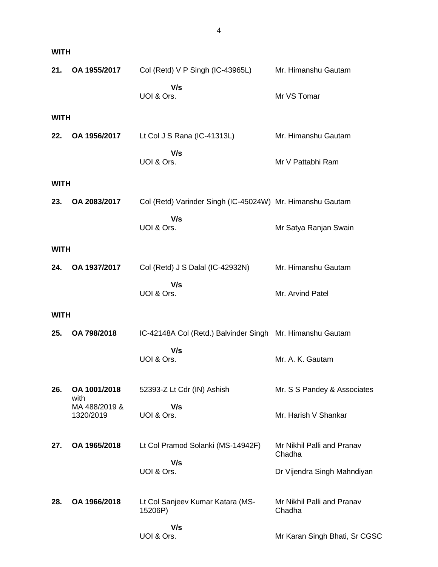| <b>WITH</b> |                                    |                                                           |                                      |
|-------------|------------------------------------|-----------------------------------------------------------|--------------------------------------|
| 21.         | OA 1955/2017                       | Col (Retd) V P Singh (IC-43965L)                          | Mr. Himanshu Gautam                  |
|             |                                    | V/s<br>UOI & Ors.                                         | Mr VS Tomar                          |
| <b>WITH</b> |                                    |                                                           |                                      |
| 22.         | OA 1956/2017                       | Lt Col J S Rana (IC-41313L)                               | Mr. Himanshu Gautam                  |
|             |                                    | V/s<br>UOI & Ors.                                         | Mr V Pattabhi Ram                    |
| <b>WITH</b> |                                    |                                                           |                                      |
| 23.         | OA 2083/2017                       | Col (Retd) Varinder Singh (IC-45024W) Mr. Himanshu Gautam |                                      |
|             |                                    | V/s<br>UOI & Ors.                                         | Mr Satya Ranjan Swain                |
| <b>WITH</b> |                                    |                                                           |                                      |
| 24.         | OA 1937/2017                       | Col (Retd) J S Dalal (IC-42932N)                          | Mr. Himanshu Gautam                  |
|             |                                    | V/s<br>UOI & Ors.                                         | Mr. Arvind Patel                     |
| <b>WITH</b> |                                    |                                                           |                                      |
| 25.         | OA 798/2018                        | IC-42148A Col (Retd.) Balvinder Singh Mr. Himanshu Gautam |                                      |
|             |                                    | V/s<br>UOI & Ors.                                         | Mr. A. K. Gautam                     |
| 26.         | OA 1001/2018                       | 52393-Z Lt Cdr (IN) Ashish                                | Mr. S S Pandey & Associates          |
|             | with<br>MA 488/2019 &<br>1320/2019 | V/s<br>UOI & Ors.                                         | Mr. Harish V Shankar                 |
| 27.         | OA 1965/2018                       | Lt Col Pramod Solanki (MS-14942F)                         | Mr Nikhil Palli and Pranav<br>Chadha |
|             |                                    | V/s<br>UOI & Ors.                                         | Dr Vijendra Singh Mahndiyan          |
| 28.         | OA 1966/2018                       | Lt Col Sanjeev Kumar Katara (MS-<br>15206P)               | Mr Nikhil Palli and Pranav<br>Chadha |
|             |                                    | V/s<br>UOI & Ors.                                         | Mr Karan Singh Bhati, Sr CGSC        |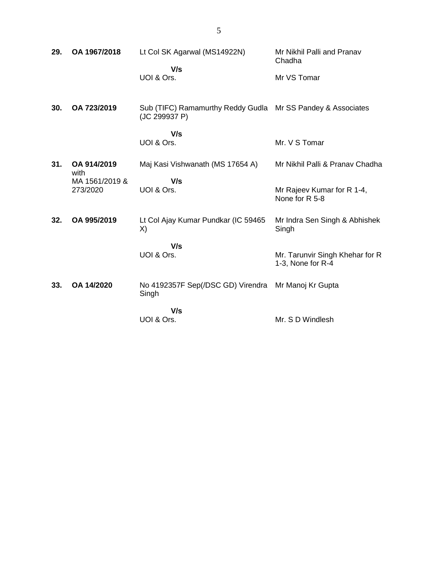| 29. | OA 1967/2018               | Lt Col SK Agarwal (MS14922N)<br>V/s                                          | Mr Nikhil Palli and Pranav<br>Chadha                 |
|-----|----------------------------|------------------------------------------------------------------------------|------------------------------------------------------|
|     |                            | UOI & Ors.                                                                   | Mr VS Tomar                                          |
| 30. | OA 723/2019                | Sub (TIFC) Ramamurthy Reddy Gudla Mr SS Pandey & Associates<br>(JC 299937 P) |                                                      |
|     |                            | V/s<br>UOI & Ors.                                                            | Mr. V S Tomar                                        |
| 31. | OA 914/2019<br>with        | Maj Kasi Vishwanath (MS 17654 A)                                             | Mr Nikhil Palli & Pranav Chadha                      |
|     | MA 1561/2019 &<br>273/2020 | V/s<br>UOI & Ors.                                                            | Mr Rajeev Kumar for R 1-4,<br>None for R 5-8         |
| 32. | OA 995/2019                | Lt Col Ajay Kumar Pundkar (IC 59465<br>X)                                    | Mr Indra Sen Singh & Abhishek<br>Singh               |
|     |                            | V/s<br>UOI & Ors.                                                            | Mr. Tarunvir Singh Khehar for R<br>1-3, None for R-4 |
| 33. | OA 14/2020                 | No 4192357F Sep(/DSC GD) Virendra Mr Manoj Kr Gupta<br>Singh                 |                                                      |
|     |                            | V/s<br>UOI & Ors.                                                            | Mr. S D Windlesh                                     |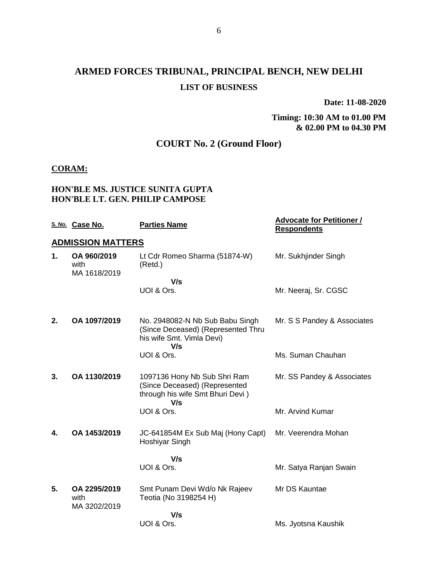# **ARMED FORCES TRIBUNAL, PRINCIPAL BENCH, NEW DELHI LIST OF BUSINESS**

**Date: 11-08-2020**

**Timing: 10:30 AM to 01.00 PM & 02.00 PM to 04.30 PM**

## **COURT No. 2 (Ground Floor)**

#### **CORAM:**

#### **HON'BLE MS. JUSTICE SUNITA GUPTA HON'BLE LT. GEN. PHILIP CAMPOSE**

|    | S. No. Case No.                      | <b>Parties Name</b>                                                                                       | <b>Advocate for Petitioner /</b><br><b>Respondents</b> |
|----|--------------------------------------|-----------------------------------------------------------------------------------------------------------|--------------------------------------------------------|
|    | <b>ADMISSION MATTERS</b>             |                                                                                                           |                                                        |
| 1. | OA 960/2019<br>with<br>MA 1618/2019  | Lt Cdr Romeo Sharma (51874-W)<br>(Retd.)                                                                  | Mr. Sukhjinder Singh                                   |
|    |                                      | V/s                                                                                                       |                                                        |
|    |                                      | UOI & Ors.                                                                                                | Mr. Neeraj, Sr. CGSC                                   |
| 2. | OA 1097/2019                         | No. 2948082-N Nb Sub Babu Singh<br>(Since Deceased) (Represented Thru<br>his wife Smt. Vimla Devi)<br>V/s | Mr. S S Pandey & Associates                            |
|    |                                      | UOI & Ors.                                                                                                | Ms. Suman Chauhan                                      |
| 3. | OA 1130/2019                         | 1097136 Hony Nb Sub Shri Ram<br>(Since Deceased) (Represented<br>through his wife Smt Bhuri Devi)<br>V/s  | Mr. SS Pandey & Associates                             |
|    |                                      | UOI & Ors.                                                                                                | Mr. Arvind Kumar                                       |
| 4. | OA 1453/2019                         | JC-641854M Ex Sub Maj (Hony Capt)<br>Hoshiyar Singh                                                       | Mr. Veerendra Mohan                                    |
|    |                                      | V/s                                                                                                       |                                                        |
|    |                                      | UOI & Ors.                                                                                                | Mr. Satya Ranjan Swain                                 |
| 5. | OA 2295/2019<br>with<br>MA 3202/2019 | Smt Punam Devi Wd/o Nk Rajeev<br>Teotia (No 3198254 H)                                                    | Mr DS Kauntae                                          |
|    |                                      | V/s                                                                                                       |                                                        |
|    |                                      | UOI & Ors.                                                                                                | Ms. Jyotsna Kaushik                                    |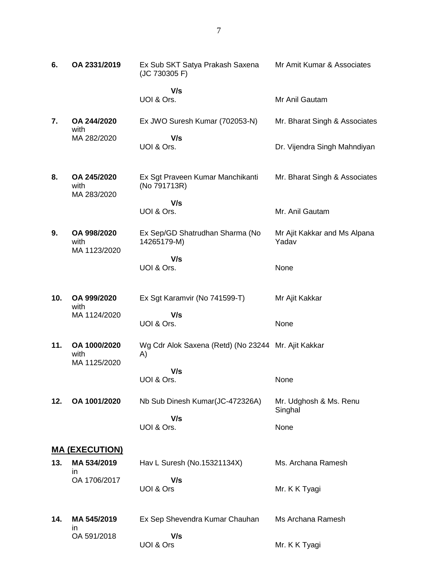| 6.  | OA 2331/2019                         | Ex Sub SKT Satya Prakash Saxena<br>(JC 730305 F)          | Mr Amit Kumar & Associates            |
|-----|--------------------------------------|-----------------------------------------------------------|---------------------------------------|
|     |                                      | V/s<br>UOI & Ors.                                         | Mr Anil Gautam                        |
| 7.  | OA 244/2020<br>with                  | Ex JWO Suresh Kumar (702053-N)                            | Mr. Bharat Singh & Associates         |
|     | MA 282/2020                          | V/s<br>UOI & Ors.                                         | Dr. Vijendra Singh Mahndiyan          |
| 8.  | OA 245/2020<br>with<br>MA 283/2020   | Ex Sgt Praveen Kumar Manchikanti<br>(No 791713R)          | Mr. Bharat Singh & Associates         |
|     |                                      | V/s<br>UOI & Ors.                                         | Mr. Anil Gautam                       |
| 9.  | OA 998/2020<br>with<br>MA 1123/2020  | Ex Sep/GD Shatrudhan Sharma (No<br>14265179-M)            | Mr Ajit Kakkar and Ms Alpana<br>Yadav |
|     |                                      | V/s<br>UOI & Ors.                                         | None                                  |
| 10. | OA 999/2020<br>with                  | Ex Sgt Karamvir (No 741599-T)                             | Mr Ajit Kakkar                        |
|     | MA 1124/2020                         | V/s<br>UOI & Ors.                                         | None                                  |
| 11. | OA 1000/2020<br>with<br>MA 1125/2020 | Wg Cdr Alok Saxena (Retd) (No 23244 Mr. Ajit Kakkar<br>A) |                                       |
|     |                                      | V/s<br>UOI & Ors.                                         | None                                  |
| 12. | OA 1001/2020                         | Nb Sub Dinesh Kumar(JC-472326A)                           | Mr. Udghosh & Ms. Renu<br>Singhal     |
|     |                                      | V/s<br>UOI & Ors.                                         | None                                  |
|     | <b>MA (EXECUTION)</b>                |                                                           |                                       |
| 13. | MA 534/2019<br>ın                    | Hav L Suresh (No.15321134X)                               | Ms. Archana Ramesh                    |
|     | OA 1706/2017                         | V/s<br>UOI & Ors                                          | Mr. K K Tyagi                         |
| 14. | MA 545/2019<br>in.                   | Ex Sep Shevendra Kumar Chauhan                            | Ms Archana Ramesh                     |
|     | OA 591/2018                          | V/s<br>UOI & Ors                                          | Mr. K K Tyagi                         |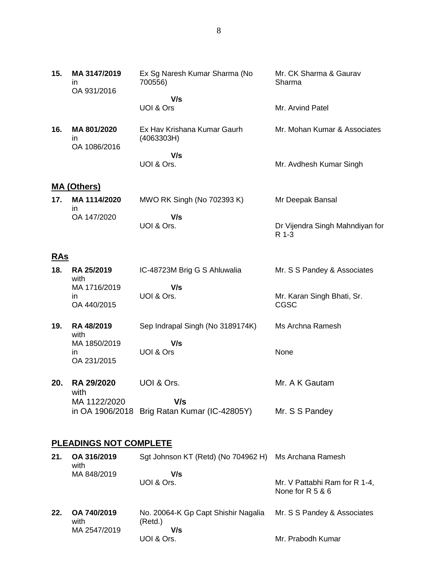| Ex Sg Naresh Kumar Sharma (No | Mr. CK Sharma & Gaurav |
|-------------------------------|------------------------|
| 700556)                       | Sharma                 |
| V/s                           |                        |
| UOI & Ors                     | Mr. Arvind Patel       |

| 16. | MA 801/2020<br>ın<br>OA 1086/2016 | Ex Hav Krishana Kumar Gaurh<br>(4063303H) | Mr. Mohan Kumar & Associates |
|-----|-----------------------------------|-------------------------------------------|------------------------------|
|     |                                   | V/s<br>UOI & Ors.                         | Mr. Avdhesh Kumar Singh      |

#### **MA (Others)**

**15. MA 3147/2019** in

OA 931/2016

| 17.<br>MA 1114/2020 | MWO RK Singh (No 702393 K) | Mr Deepak Bansal                |
|---------------------|----------------------------|---------------------------------|
| OA 147/2020         | V/s<br>UOI & Ors.          | Dr Vijendra Singh Mahndiyan for |

R 1-3

#### **RAs**

| 18. | RA 25/2019<br>with | IC-48723M Brig G S Ahluwalia | Mr. S S Pandey & Associates |
|-----|--------------------|------------------------------|-----------------------------|
|     | MA 1716/2019       | V/s                          |                             |
|     | ın                 | UOI & Ors.                   | Mr. Karan Singh Bhati, Sr.  |
|     | OA 440/2015        |                              | CGSC                        |

- **19. RA 48/2019** with MA 1850/2019 in OA 231/2015 Sep Indrapal Singh (No 3189174K)  **V/s** UOI & Ors Ms Archna Ramesh None
- **20. RA 29/2020** UOI & Ors. with MA 1122/2020 in OA 1906/2018 Brig Ratan Kumar (IC-42805Y) Mr. S S Pandey  **V/s** Mr. A K Gautam

#### **PLEADINGS NOT COMPLETE**

| 21. | OA 316/2019<br>with | Sgt Johnson KT (Retd) (No 704962 H) Ms Archana Ramesh |                                                     |
|-----|---------------------|-------------------------------------------------------|-----------------------------------------------------|
|     | MA 848/2019         | V/s                                                   |                                                     |
|     |                     | UOI & Ors.                                            | Mr. V Pattabhi Ram for R 1-4,<br>None for $R$ 5 & 6 |
| 22. | OA 740/2019<br>with | No. 20064-K Gp Capt Shishir Nagalia<br>(Retd.)        | Mr. S S Pandey & Associates                         |
|     | MA 2547/2019        | V/s                                                   |                                                     |
|     |                     | UOI & Ors.                                            | Mr. Prabodh Kumar                                   |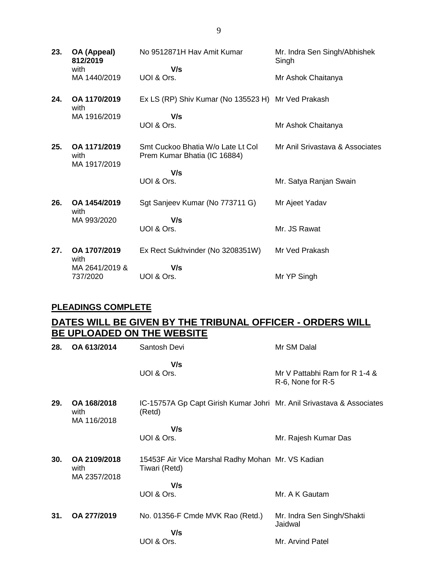| 23. | OA (Appeal)<br>812/2019              | No 9512871H Hav Amit Kumar                                        | Mr. Indra Sen Singh/Abhishek<br>Singh |
|-----|--------------------------------------|-------------------------------------------------------------------|---------------------------------------|
|     | with<br>MA 1440/2019                 | V/s<br>UOI & Ors.                                                 | Mr Ashok Chaitanya                    |
| 24. | OA 1170/2019<br>with                 | Ex LS (RP) Shiv Kumar (No 135523 H) Mr Ved Prakash                |                                       |
|     | MA 1916/2019                         | V/s                                                               |                                       |
|     |                                      | UOI & Ors.                                                        | Mr Ashok Chaitanya                    |
| 25. | OA 1171/2019<br>with<br>MA 1917/2019 | Smt Cuckoo Bhatia W/o Late Lt Col<br>Prem Kumar Bhatia (IC 16884) | Mr Anil Srivastava & Associates       |
|     |                                      | V/s                                                               |                                       |
|     |                                      | UOI & Ors.                                                        | Mr. Satya Ranjan Swain                |
| 26. | OA 1454/2019<br>with                 | Sgt Sanjeev Kumar (No 773711 G)                                   | Mr Ajeet Yadav                        |
|     | MA 993/2020                          | V/s                                                               |                                       |
|     |                                      | UOI & Ors.                                                        | Mr. JS Rawat                          |
| 27. | OA 1707/2019<br>with                 | Ex Rect Sukhvinder (No 3208351W)                                  | Mr Ved Prakash                        |
|     | MA 2641/2019 &                       | V/s                                                               |                                       |
|     | 737/2020                             | UOI & Ors.                                                        | Mr YP Singh                           |

#### **PLEADINGS COMPLETE**

# **DATES WILL BE GIVEN BY THE TRIBUNAL OFFICER - ORDERS WILL BE UPLOADED ON THE WEBSITE**

| 28. | OA 613/2014                          | Santosh Devi                                                                    | Mr SM Dalal                                        |
|-----|--------------------------------------|---------------------------------------------------------------------------------|----------------------------------------------------|
|     |                                      | V/s<br>UOI & Ors.                                                               | Mr V Pattabhi Ram for R 1-4 &<br>R-6, None for R-5 |
| 29. | OA 168/2018<br>with<br>MA 116/2018   | IC-15757A Gp Capt Girish Kumar Johri Mr. Anil Srivastava & Associates<br>(Retd) |                                                    |
|     |                                      | V/s                                                                             |                                                    |
|     |                                      | UOI & Ors.                                                                      | Mr. Rajesh Kumar Das                               |
| 30. | OA 2109/2018<br>with<br>MA 2357/2018 | 15453F Air Vice Marshal Radhy Mohan Mr. VS Kadian<br>Tiwari (Retd)              |                                                    |
|     |                                      | V/s                                                                             |                                                    |
|     |                                      | UOI & Ors.                                                                      | Mr. A K Gautam                                     |
| 31. | OA 277/2019                          | No. 01356-F Cmde MVK Rao (Retd.)                                                | Mr. Indra Sen Singh/Shakti<br>Jaidwal              |
|     |                                      | V/s                                                                             |                                                    |
|     |                                      | UOI & Ors.                                                                      | Mr. Arvind Patel                                   |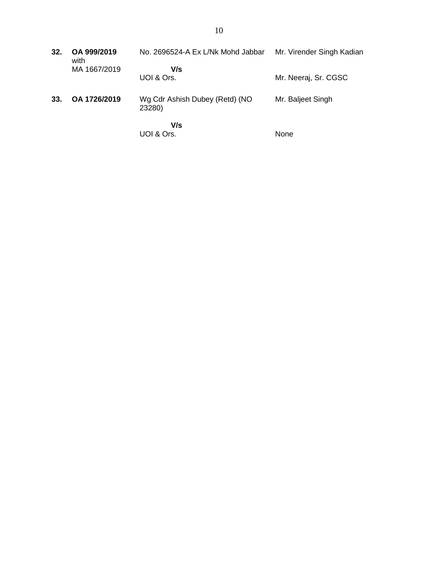| 32. | OA 999/2019<br>with | No. 2696524-A Ex L/Nk Mohd Jabbar        | Mr. Virender Singh Kadian |
|-----|---------------------|------------------------------------------|---------------------------|
|     | MA 1667/2019        | V/s<br>UOI & Ors.                        | Mr. Neeraj, Sr. CGSC      |
| 33. | OA 1726/2019        | Wg Cdr Ashish Dubey (Retd) (NO<br>23280) | Mr. Baljeet Singh         |
|     |                     | V/s<br>UOI & Ors.                        | None                      |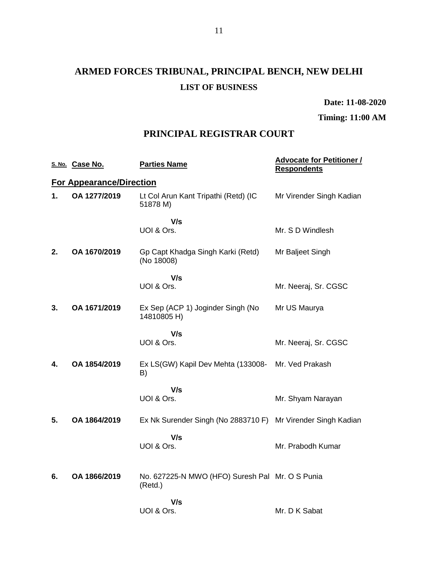# **ARMED FORCES TRIBUNAL, PRINCIPAL BENCH, NEW DELHI LIST OF BUSINESS**

**Date: 11-08-2020**

**Timing: 11:00 AM**

### **PRINCIPAL REGISTRAR COURT**

|    | S. No. Case No.                 | <b>Parties Name</b>                                        | <b>Advocate for Petitioner /</b><br><b>Respondents</b> |
|----|---------------------------------|------------------------------------------------------------|--------------------------------------------------------|
|    | <b>For Appearance/Direction</b> |                                                            |                                                        |
| 1. | OA 1277/2019                    | Lt Col Arun Kant Tripathi (Retd) (IC<br>51878 M)           | Mr Virender Singh Kadian                               |
|    |                                 | V/s<br>UOI & Ors.                                          | Mr. S D Windlesh                                       |
| 2. | OA 1670/2019                    | Gp Capt Khadga Singh Karki (Retd)<br>(No 18008)            | Mr Baljeet Singh                                       |
|    |                                 | V/s<br>UOI & Ors.                                          | Mr. Neeraj, Sr. CGSC                                   |
| 3. | OA 1671/2019                    | Ex Sep (ACP 1) Joginder Singh (No<br>14810805 H)           | Mr US Maurya                                           |
|    |                                 | V/s<br>UOI & Ors.                                          | Mr. Neeraj, Sr. CGSC                                   |
| 4. | OA 1854/2019                    | Ex LS(GW) Kapil Dev Mehta (133008-<br>B)                   | Mr. Ved Prakash                                        |
|    |                                 | V/s<br>UOI & Ors.                                          | Mr. Shyam Narayan                                      |
| 5. | OA 1864/2019                    | Ex Nk Surender Singh (No 2883710 F)                        | Mr Virender Singh Kadian                               |
|    |                                 | V/s<br>UOI & Ors.                                          | Mr. Prabodh Kumar                                      |
| 6. | OA 1866/2019                    | No. 627225-N MWO (HFO) Suresh Pal Mr. O S Punia<br>(Retd.) |                                                        |
|    |                                 | V/s<br>UOI & Ors.                                          | Mr. D K Sabat                                          |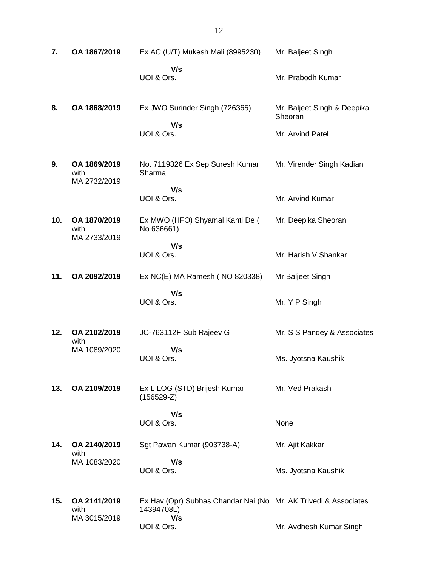| 7.  | OA 1867/2019                         | Ex AC (U/T) Mukesh Mali (8995230)                                                    | Mr. Baljeet Singh                      |
|-----|--------------------------------------|--------------------------------------------------------------------------------------|----------------------------------------|
|     |                                      | V/s<br>UOI & Ors.                                                                    | Mr. Prabodh Kumar                      |
| 8.  | OA 1868/2019                         | Ex JWO Surinder Singh (726365)                                                       | Mr. Baljeet Singh & Deepika<br>Sheoran |
|     |                                      | V/s<br>UOI & Ors.                                                                    | Mr. Arvind Patel                       |
| 9.  | OA 1869/2019<br>with<br>MA 2732/2019 | No. 7119326 Ex Sep Suresh Kumar<br>Sharma                                            | Mr. Virender Singh Kadian              |
|     |                                      | V/s<br>UOI & Ors.                                                                    | Mr. Arvind Kumar                       |
| 10. | OA 1870/2019<br>with<br>MA 2733/2019 | Ex MWO (HFO) Shyamal Kanti De (<br>No 636661)                                        | Mr. Deepika Sheoran                    |
|     |                                      | V/s<br>UOI & Ors.                                                                    | Mr. Harish V Shankar                   |
| 11. | OA 2092/2019                         | Ex NC(E) MA Ramesh (NO 820338)                                                       | Mr Baljeet Singh                       |
|     |                                      | V/s<br>UOI & Ors.                                                                    | Mr. Y P Singh                          |
| 12. | OA 2102/2019<br>with                 | JC-763112F Sub Rajeev G                                                              | Mr. S S Pandey & Associates            |
|     | MA 1089/2020                         | V/s<br>UOI & Ors.                                                                    | Ms. Jyotsna Kaushik                    |
| 13. | OA 2109/2019                         | Ex L LOG (STD) Brijesh Kumar<br>$(156529-Z)$                                         | Mr. Ved Prakash                        |
|     |                                      | V/s<br>UOI & Ors.                                                                    | None                                   |
| 14. | OA 2140/2019<br>with                 | Sgt Pawan Kumar (903738-A)                                                           | Mr. Ajit Kakkar                        |
|     | MA 1083/2020                         | V/s<br>UOI & Ors.                                                                    | Ms. Jyotsna Kaushik                    |
| 15. | OA 2141/2019<br>with<br>MA 3015/2019 | Ex Hav (Opr) Subhas Chandar Nai (No Mr. AK Trivedi & Associates<br>14394708L)<br>V/s |                                        |
|     |                                      | UOI & Ors.                                                                           | Mr. Avdhesh Kumar Singh                |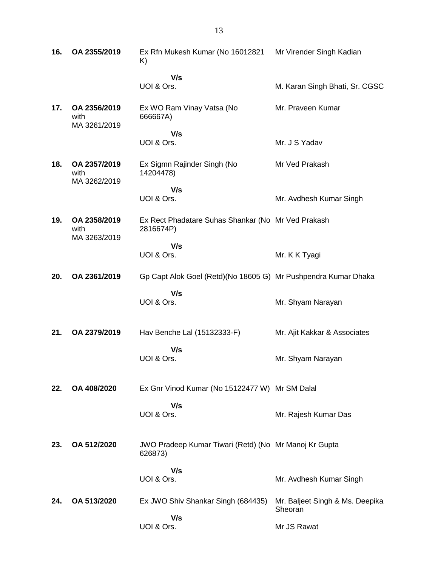| 16. | OA 2355/2019                         | Ex Rfn Mukesh Kumar (No 16012821<br>K)                           | Mr Virender Singh Kadian                   |
|-----|--------------------------------------|------------------------------------------------------------------|--------------------------------------------|
|     |                                      | V/s<br>UOI & Ors.                                                | M. Karan Singh Bhati, Sr. CGSC             |
| 17. | OA 2356/2019<br>with<br>MA 3261/2019 | Ex WO Ram Vinay Vatsa (No<br>666667A)                            | Mr. Praveen Kumar                          |
|     |                                      | V/s<br>UOI & Ors.                                                | Mr. J S Yadav                              |
| 18. | OA 2357/2019<br>with<br>MA 3262/2019 | Ex Sigmn Rajinder Singh (No<br>14204478)                         | Mr Ved Prakash                             |
|     |                                      | V/s<br>UOI & Ors.                                                | Mr. Avdhesh Kumar Singh                    |
| 19. | OA 2358/2019<br>with<br>MA 3263/2019 | Ex Rect Phadatare Suhas Shankar (No Mr Ved Prakash<br>2816674P)  |                                            |
|     |                                      | V/s<br>UOI & Ors.                                                | Mr. K K Tyagi                              |
| 20. | OA 2361/2019                         | Gp Capt Alok Goel (Retd)(No 18605 G) Mr Pushpendra Kumar Dhaka   |                                            |
|     |                                      | V/s<br>UOI & Ors.                                                | Mr. Shyam Narayan                          |
| 21. | OA 2379/2019                         | Hav Benche Lal (15132333-F)                                      | Mr. Ajit Kakkar & Associates               |
|     |                                      | V/s<br>UOI & Ors.                                                | Mr. Shyam Narayan                          |
| 22. | OA 408/2020                          | Ex Gnr Vinod Kumar (No 15122477 W) Mr SM Dalal                   |                                            |
|     |                                      | V/s<br>UOI & Ors.                                                | Mr. Rajesh Kumar Das                       |
| 23. | OA 512/2020                          | JWO Pradeep Kumar Tiwari (Retd) (No Mr Manoj Kr Gupta<br>626873) |                                            |
|     |                                      | V/s<br>UOI & Ors.                                                | Mr. Avdhesh Kumar Singh                    |
| 24. | OA 513/2020                          | Ex JWO Shiv Shankar Singh (684435)                               | Mr. Baljeet Singh & Ms. Deepika<br>Sheoran |
|     |                                      | V/s<br>UOI & Ors.                                                | Mr JS Rawat                                |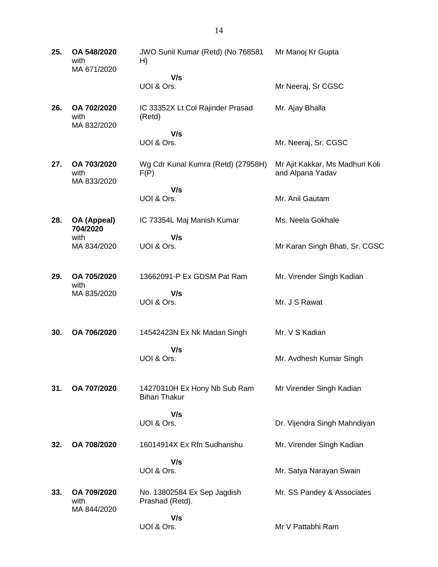| 25. | OA 548/2020<br>with<br>MA 671/2020 | JWO Sunil Kumar (Retd) (No 768581<br>H)              | Mr Manoj Kr Gupta                                   |
|-----|------------------------------------|------------------------------------------------------|-----------------------------------------------------|
|     |                                    | V/s<br>UOI & Ors.                                    | Mr Neeraj, Sr CGSC                                  |
| 26. | OA 702/2020<br>with<br>MA 832/2020 | IC 33352X Lt Col Rajinder Prasad<br>(Retd)           | Mr. Ajay Bhalla                                     |
|     |                                    | V/s<br>UOI & Ors.                                    | Mr. Neeraj, Sr. CGSC                                |
| 27. | OA 703/2020<br>with<br>MA 833/2020 | Wg Cdr Kunal Kumra (Retd) (27958H)<br>F(P)           | Mr Ajit Kakkar, Ms Madhuri Koli<br>and Alpana Yadav |
|     |                                    | V/s<br>UOI & Ors.                                    | Mr. Anil Gautam                                     |
| 28. | OA (Appeal)<br>704/2020            | IC 73354L Maj Manish Kumar                           | Ms. Neela Gokhale                                   |
|     | with<br>MA 834/2020                | V/s<br>UOI & Ors.                                    | Mr Karan Singh Bhati, Sr. CGSC                      |
| 29. | OA 705/2020<br>with                | 13662091-P Ex GDSM Pat Ram                           | Mr. Virender Singh Kadian                           |
|     | MA 835/2020                        | V/s<br>UOI & Ors.                                    | Mr. J S Rawat                                       |
| 30. | OA 706/2020                        | 14542423N Ex Nk Madan Singh                          | Mr. V S Kadian                                      |
|     |                                    | V/s<br>UOI & Ors.                                    | Mr. Avdhesh Kumar Singh                             |
| 31. | OA 707/2020                        | 14270310H Ex Hony Nb Sub Ram<br><b>Bihari Thakur</b> | Mr Virender Singh Kadian                            |
|     |                                    | V/s<br>UOI & Ors.                                    | Dr. Vijendra Singh Mahndiyan                        |
| 32. | OA 708/2020                        | 16014914X Ex Rfn Sudhanshu                           | Mr. Virender Singh Kadian                           |
|     |                                    | V/s<br>UOI & Ors.                                    | Mr. Satya Narayan Swain                             |
| 33. | OA 709/2020<br>with<br>MA 844/2020 | No. 13802584 Ex Sep Jagdish<br>Prashad (Retd).       | Mr. SS Pandey & Associates                          |
|     |                                    | V/s<br>UOI & Ors.                                    | Mr V Pattabhi Ram                                   |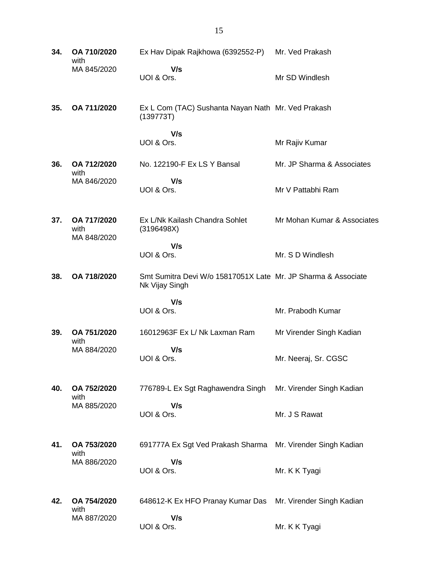**34. OA 710/2020** with MA 845/2020 Ex Hav Dipak Rajkhowa (6392552-P) Mr. Ved Prakash  **V/s** UOI & Ors. Mr SD Windlesh **35. OA 711/2020** Ex L Com (TAC) Sushanta Nayan Nath Mr. Ved Prakash (139773T)  **V/s** UOI & Ors. Mr Rajiv Kumar **36. OA 712/2020** with MA 846/2020 No. 122190-F Ex LS Y Bansal  **V/s** UOI & Ors. Mr. JP Sharma & Associates Mr V Pattabhi Ram **37. OA 717/2020** with MA 848/2020 Ex L/Nk Kailash Chandra Sohlet (3196498X)  **V/s** UOI & Ors. Mr Mohan Kumar & Associates Mr. S D Windlesh **38. OA 718/2020** Smt Sumitra Devi W/o 15817051X Late Mr. JP Sharma & Associate Nk Vijay Singh  **V/s** UOI & Ors. Mr. Prabodh Kumar **39. OA 751/2020** with MA 884/2020 16012963F Ex L/ Nk Laxman Ram  **V/s** UOI & Ors. Mr Virender Singh Kadian Mr. Neeraj, Sr. CGSC **40. OA 752/2020** with MA 885/2020 776789-L Ex Sgt Raghawendra Singh  **V/s** UOI & Ors. Mr. Virender Singh Kadian Mr. J S Rawat **41. OA 753/2020** with MA 886/2020 691777A Ex Sgt Ved Prakash Sharma Mr. Virender Singh Kadian  **V/s** UOI & Ors. Mr. K K Tyagi **42. OA 754/2020** with MA 887/2020 648612-K Ex HFO Pranay Kumar Das Mr. Virender Singh Kadian  **V/s** UOI & Ors. Mr. K K Tyagi